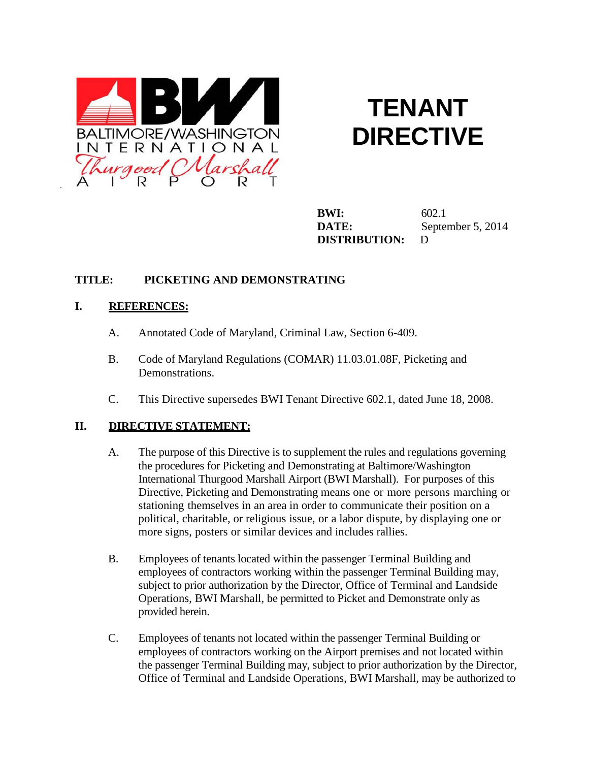

# **TENANT DIRECTIVE**

**BWI:** 602.1 **DATE:** September 5, 2014 **DISTRIBUTION:** D

## **TITLE: PICKETING AND DEMONSTRATING**

### **I. REFERENCES:**

- A. Annotated Code of Maryland, Criminal Law, Section 6-409.
- B. Code of Maryland Regulations (COMAR) 11.03.01.08F, Picketing and Demonstrations.
- C. This Directive supersedes BWI Tenant Directive 602.1, dated June 18, 2008.

### **II. DIRECTIVE STATEMENT:**

- A. The purpose of this Directive is to supplement the rules and regulations governing the procedures for Picketing and Demonstrating at Baltimore/Washington International Thurgood Marshall Airport (BWI Marshall). For purposes of this Directive, Picketing and Demonstrating means one or more persons marching or stationing themselves in an area in order to communicate their position on a political, charitable, or religious issue, or a labor dispute, by displaying one or more signs, posters or similar devices and includes rallies.
- B. Employees of tenants located within the passenger Terminal Building and employees of contractors working within the passenger Terminal Building may, subject to prior authorization by the Director, Office of Terminal and Landside Operations, BWI Marshall, be permitted to Picket and Demonstrate only as provided herein.
- C. Employees of tenants not located within the passenger Terminal Building or employees of contractors working on the Airport premises and not located within the passenger Terminal Building may, subject to prior authorization by the Director, Office of Terminal and Landside Operations, BWI Marshall, may be authorized to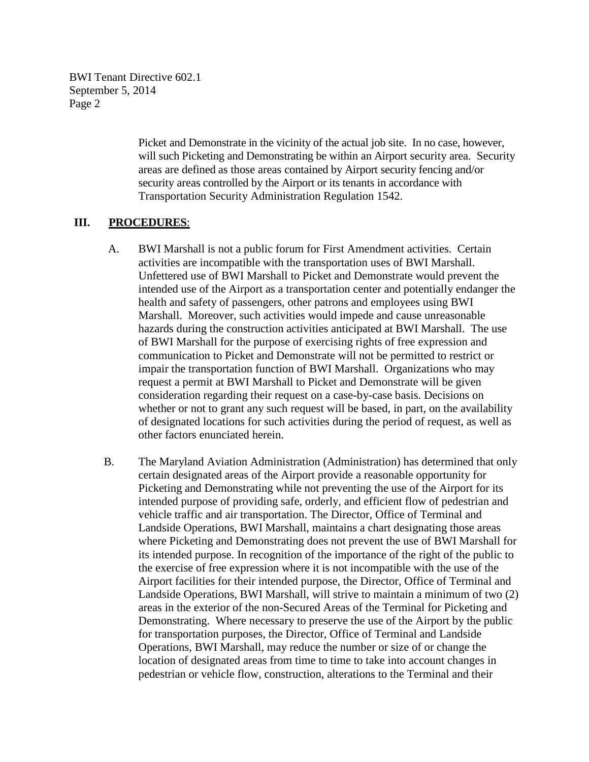> Picket and Demonstrate in the vicinity of the actual job site. In no case, however, will such Picketing and Demonstrating be within an Airport security area. Security areas are defined as those areas contained by Airport security fencing and/or security areas controlled by the Airport or its tenants in accordance with Transportation Security Administration Regulation 1542.

#### **III. PROCEDURES**:

- A. BWI Marshall is not a public forum for First Amendment activities. Certain activities are incompatible with the transportation uses of BWI Marshall. Unfettered use of BWI Marshall to Picket and Demonstrate would prevent the intended use of the Airport as a transportation center and potentially endanger the health and safety of passengers, other patrons and employees using BWI Marshall. Moreover, such activities would impede and cause unreasonable hazards during the construction activities anticipated at BWI Marshall. The use of BWI Marshall for the purpose of exercising rights of free expression and communication to Picket and Demonstrate will not be permitted to restrict or impair the transportation function of BWI Marshall. Organizations who may request a permit at BWI Marshall to Picket and Demonstrate will be given consideration regarding their request on a case-by-case basis. Decisions on whether or not to grant any such request will be based, in part, on the availability of designated locations for such activities during the period of request, as well as other factors enunciated herein.
- B. The Maryland Aviation Administration (Administration) has determined that only certain designated areas of the Airport provide a reasonable opportunity for Picketing and Demonstrating while not preventing the use of the Airport for its intended purpose of providing safe, orderly, and efficient flow of pedestrian and vehicle traffic and air transportation. The Director, Office of Terminal and Landside Operations, BWI Marshall, maintains a chart designating those areas where Picketing and Demonstrating does not prevent the use of BWI Marshall for its intended purpose. In recognition of the importance of the right of the public to the exercise of free expression where it is not incompatible with the use of the Airport facilities for their intended purpose, the Director, Office of Terminal and Landside Operations, BWI Marshall, will strive to maintain a minimum of two (2) areas in the exterior of the non-Secured Areas of the Terminal for Picketing and Demonstrating. Where necessary to preserve the use of the Airport by the public for transportation purposes, the Director, Office of Terminal and Landside Operations, BWI Marshall, may reduce the number or size of or change the location of designated areas from time to time to take into account changes in pedestrian or vehicle flow, construction, alterations to the Terminal and their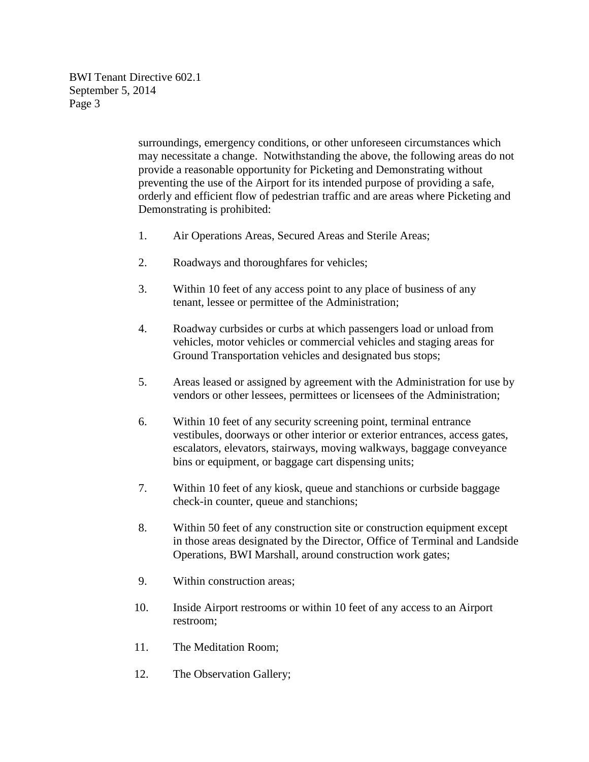> surroundings, emergency conditions, or other unforeseen circumstances which may necessitate a change. Notwithstanding the above, the following areas do not provide a reasonable opportunity for Picketing and Demonstrating without preventing the use of the Airport for its intended purpose of providing a safe, orderly and efficient flow of pedestrian traffic and are areas where Picketing and Demonstrating is prohibited:

- 1. Air Operations Areas, Secured Areas and Sterile Areas;
- 2. Roadways and thoroughfares for vehicles;
- 3. Within 10 feet of any access point to any place of business of any tenant, lessee or permittee of the Administration;
- 4. Roadway curbsides or curbs at which passengers load or unload from vehicles, motor vehicles or commercial vehicles and staging areas for Ground Transportation vehicles and designated bus stops;
- 5. Areas leased or assigned by agreement with the Administration for use by vendors or other lessees, permittees or licensees of the Administration;
- 6. Within 10 feet of any security screening point, terminal entrance vestibules, doorways or other interior or exterior entrances, access gates, escalators, elevators, stairways, moving walkways, baggage conveyance bins or equipment, or baggage cart dispensing units;
- 7. Within 10 feet of any kiosk, queue and stanchions or curbside baggage check-in counter, queue and stanchions;
- 8. Within 50 feet of any construction site or construction equipment except in those areas designated by the Director, Office of Terminal and Landside Operations, BWI Marshall, around construction work gates;
- 9. Within construction areas;
- 10. Inside Airport restrooms or within 10 feet of any access to an Airport restroom;
- 11. The Meditation Room;
- 12. The Observation Gallery;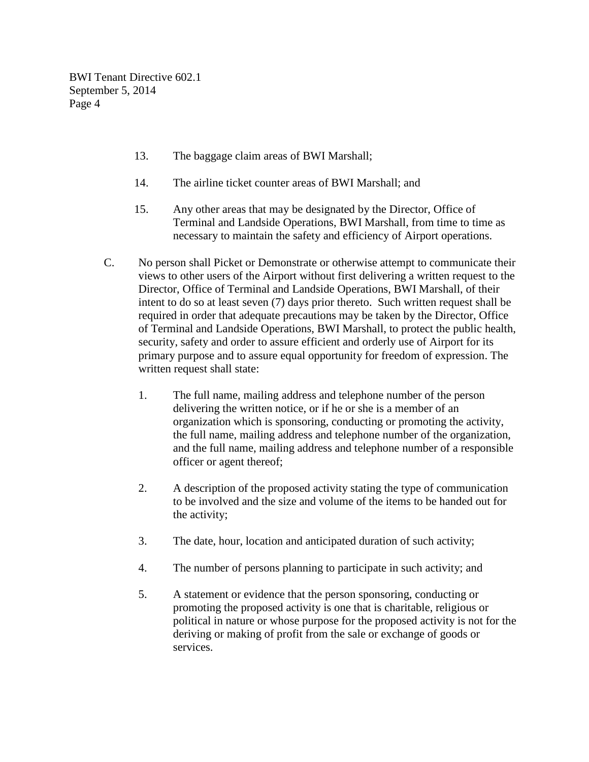- 13. The baggage claim areas of BWI Marshall;
- 14. The airline ticket counter areas of BWI Marshall; and
- 15. Any other areas that may be designated by the Director, Office of Terminal and Landside Operations, BWI Marshall, from time to time as necessary to maintain the safety and efficiency of Airport operations.
- C. No person shall Picket or Demonstrate or otherwise attempt to communicate their views to other users of the Airport without first delivering a written request to the Director, Office of Terminal and Landside Operations, BWI Marshall, of their intent to do so at least seven (7) days prior thereto. Such written request shall be required in order that adequate precautions may be taken by the Director, Office of Terminal and Landside Operations, BWI Marshall, to protect the public health, security, safety and order to assure efficient and orderly use of Airport for its primary purpose and to assure equal opportunity for freedom of expression. The written request shall state:
	- 1. The full name, mailing address and telephone number of the person delivering the written notice, or if he or she is a member of an organization which is sponsoring, conducting or promoting the activity, the full name, mailing address and telephone number of the organization, and the full name, mailing address and telephone number of a responsible officer or agent thereof;
	- 2. A description of the proposed activity stating the type of communication to be involved and the size and volume of the items to be handed out for the activity;
	- 3. The date, hour, location and anticipated duration of such activity;
	- 4. The number of persons planning to participate in such activity; and
	- 5. A statement or evidence that the person sponsoring, conducting or promoting the proposed activity is one that is charitable, religious or political in nature or whose purpose for the proposed activity is not for the deriving or making of profit from the sale or exchange of goods or services.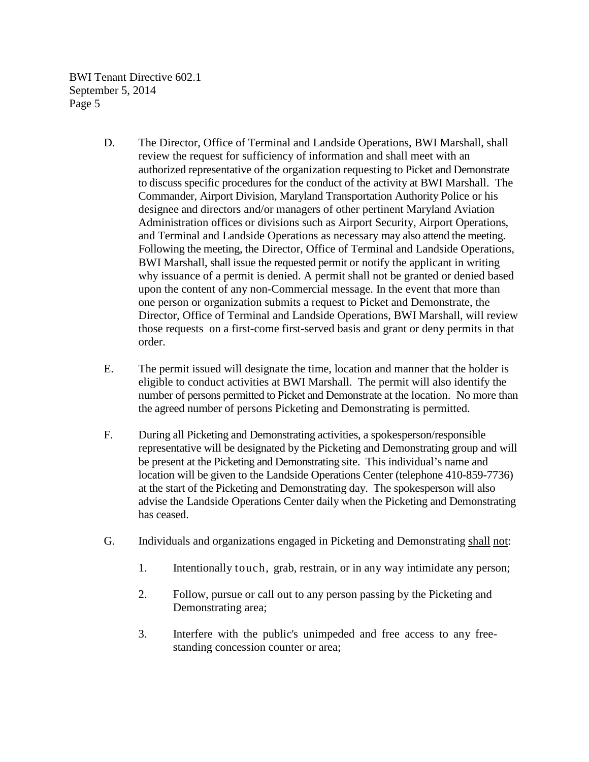- D. The Director, Office of Terminal and Landside Operations, BWI Marshall, shall review the request for sufficiency of information and shall meet with an authorized representative of the organization requesting to Picket and Demonstrate to discuss specific procedures for the conduct of the activity at BWI Marshall. The Commander, Airport Division, Maryland Transportation Authority Police or his designee and directors and/or managers of other pertinent Maryland Aviation Administration offices or divisions such as Airport Security, Airport Operations, and Terminal and Landside Operations as necessary may also attend the meeting. Following the meeting, the Director, Office of Terminal and Landside Operations, BWI Marshall, shall issue the requested permit or notify the applicant in writing why issuance of a permit is denied. A permit shall not be granted or denied based upon the content of any non-Commercial message. In the event that more than one person or organization submits a request to Picket and Demonstrate, the Director, Office of Terminal and Landside Operations, BWI Marshall, will review those requests on a first-come first-served basis and grant or deny permits in that order.
- E. The permit issued will designate the time, location and manner that the holder is eligible to conduct activities at BWI Marshall. The permit will also identify the number of persons permitted to Picket and Demonstrate at the location. No more than the agreed number of persons Picketing and Demonstrating is permitted.
- F. During all Picketing and Demonstrating activities, a spokesperson/responsible representative will be designated by the Picketing and Demonstrating group and will be present at the Picketing and Demonstrating site. This individual's name and location will be given to the Landside Operations Center (telephone 410-859-7736) at the start of the Picketing and Demonstrating day. The spokesperson will also advise the Landside Operations Center daily when the Picketing and Demonstrating has ceased.
- G. Individuals and organizations engaged in Picketing and Demonstrating shall not:
	- 1. Intentionally touch, grab, restrain, or in any way intimidate any person;
	- 2. Follow, pursue or call out to any person passing by the Picketing and Demonstrating area;
	- 3. Interfere with the public's unimpeded and free access to any freestanding concession counter or area;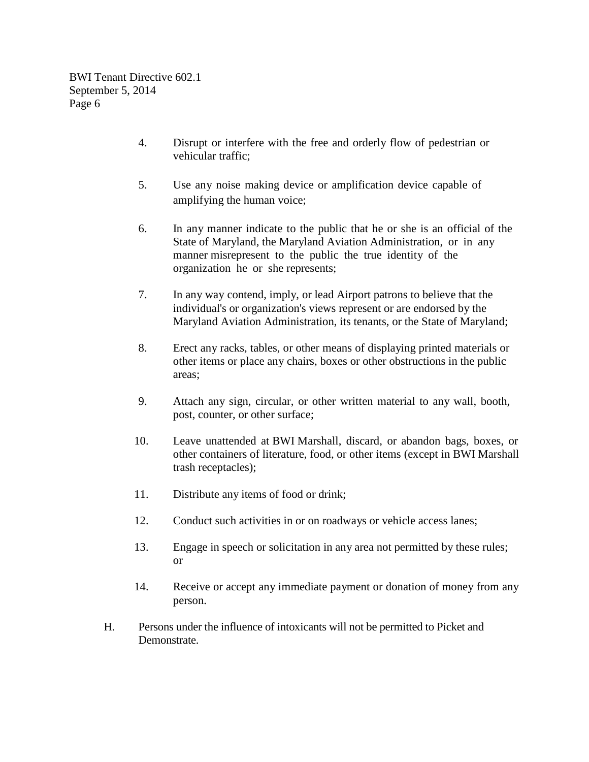- 4. Disrupt or interfere with the free and orderly flow of pedestrian or vehicular traffic;
- 5. Use any noise making device or amplification device capable of amplifying the human voice;
- 6. In any manner indicate to the public that he or she is an official of the State of Maryland, the Maryland Aviation Administration, or in any manner misrepresent to the public the true identity of the organization he or she represents;
- 7. In any way contend, imply, or lead Airport patrons to believe that the individual's or organization's views represent or are endorsed by the Maryland Aviation Administration, its tenants, or the State of Maryland;
- 8. Erect any racks, tables, or other means of displaying printed materials or other items or place any chairs, boxes or other obstructions in the public areas;
- 9. Attach any sign, circular, or other written material to any wall, booth, post, counter, or other surface;
- 10. Leave unattended at BWI Marshall, discard, or abandon bags, boxes, or other containers of literature, food, or other items (except in BWI Marshall trash receptacles);
- 11. Distribute any items of food or drink;
- 12. Conduct such activities in or on roadways or vehicle access lanes;
- 13. Engage in speech or solicitation in any area not permitted by these rules; or
- 14. Receive or accept any immediate payment or donation of money from any person.
- H. Persons under the influence of intoxicants will not be permitted to Picket and Demonstrate.